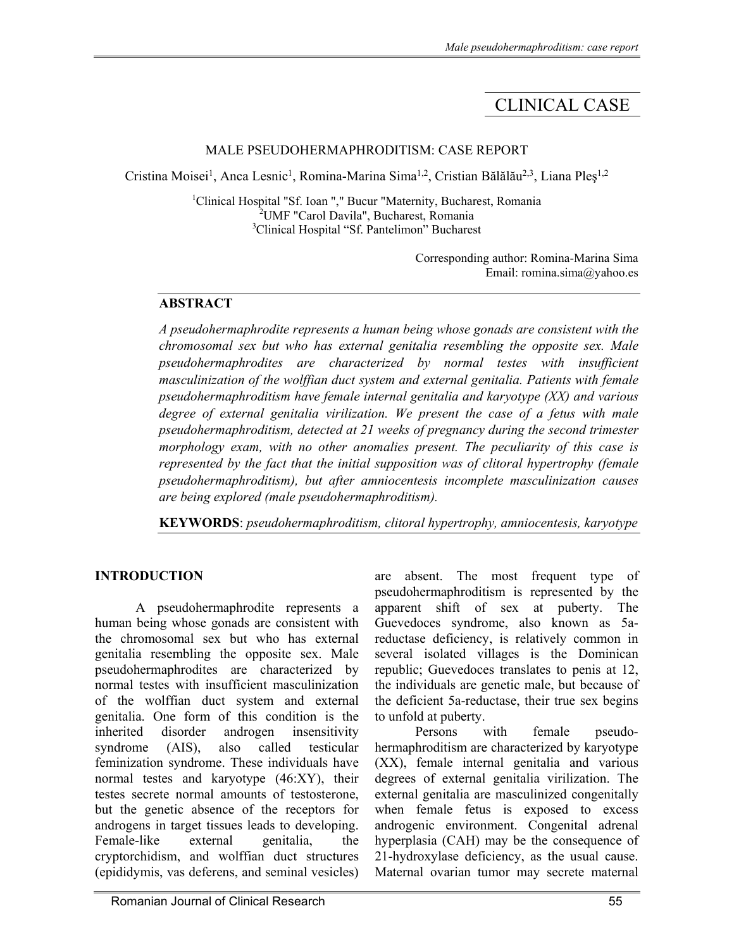# CLINICAL CASE

#### MALE PSEUDOHERMAPHRODITISM: CASE REPORT

Cristina Moisei<sup>1</sup>, Anca Lesnic<sup>1</sup>, Romina-Marina Sima<sup>1,2</sup>, Cristian Bălălău<sup>2,3</sup>, Liana Pleș<sup>1,2</sup>

<sup>1</sup>Clinical Hospital "Sf. Ioan "," Bucur "Maternity, Bucharest, Romania 2 UMF "Carol Davila", Bucharest, Romania <sup>3</sup>Clinical Hospital "Sf. Pantelimon" Bucharest

> Corresponding author: Romina-Marina Sima Email: romina.sima@yahoo.es

# **ABSTRACT**

*A pseudohermaphrodite represents a human being whose gonads are consistent with the chromosomal sex but who has external genitalia resembling the opposite sex. Male pseudohermaphrodites are characterized by normal testes with insufficient masculinization of the wolffian duct system and external genitalia. Patients with female pseudohermaphroditism have female internal genitalia and karyotype (XX) and various*  degree of external genitalia virilization. We present the case of a fetus with male *pseudohermaphroditism, detected at 21 weeks of pregnancy during the second trimester morphology exam, with no other anomalies present. The peculiarity of this case is represented by the fact that the initial supposition was of clitoral hypertrophy (female pseudohermaphroditism), but after amniocentesis incomplete masculinization causes are being explored (male pseudohermaphroditism).* 

**KEYWORDS**: *pseudohermaphroditism, clitoral hypertrophy, amniocentesis, karyotype*

# **INTRODUCTION**

A pseudohermaphrodite represents a human being whose gonads are consistent with the chromosomal sex but who has external genitalia resembling the opposite sex. Male pseudohermaphrodites are characterized by normal testes with insufficient masculinization of the wolffian duct system and external genitalia. One form of this condition is the inherited disorder androgen insensitivity syndrome (AIS), also called testicular feminization syndrome. These individuals have normal testes and karyotype (46:XY), their testes secrete normal amounts of testosterone, but the genetic absence of the receptors for androgens in target tissues leads to developing. Female-like external genitalia, the cryptorchidism, and wolffian duct structures (epididymis, vas deferens, and seminal vesicles)

are absent. The most frequent type of pseudohermaphroditism is represented by the apparent shift of sex at puberty. The Guevedoces syndrome, also known as 5areductase deficiency, is relatively common in several isolated villages is the Dominican republic; Guevedoces translates to penis at 12, the individuals are genetic male, but because of the deficient 5a-reductase, their true sex begins to unfold at puberty.

Persons with female pseudohermaphroditism are characterized by karyotype (XX), female internal genitalia and various degrees of external genitalia virilization. The external genitalia are masculinized congenitally when female fetus is exposed to excess androgenic environment. Congenital adrenal hyperplasia (CAH) may be the consequence of 21-hydroxylase deficiency, as the usual cause. Maternal ovarian tumor may secrete maternal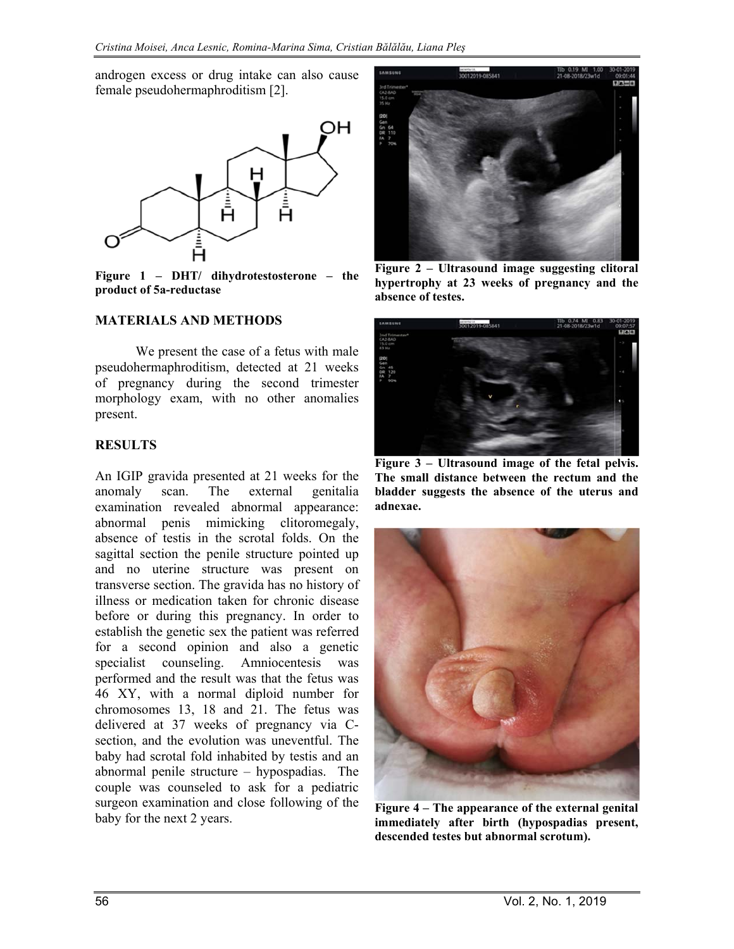androgen excess or drug intake can also cause female pseudohermaphroditism [2].



**Figure 1 – DHT/ dihydrotestosterone – the product of 5a-reductase** 

#### **MATERIALS AND METHODS**

We present the case of a fetus with male pseudohermaphroditism, detected at 21 weeks of pregnancy during the second trimester morphology exam, with no other anomalies present.

#### **RESULTS**

An IGIP gravida presented at 21 weeks for the anomaly scan. The external genitalia examination revealed abnormal appearance: abnormal penis mimicking clitoromegaly, absence of testis in the scrotal folds. On the sagittal section the penile structure pointed up and no uterine structure was present on transverse section. The gravida has no history of illness or medication taken for chronic disease before or during this pregnancy. In order to establish the genetic sex the patient was referred for a second opinion and also a genetic specialist counseling. Amniocentesis was performed and the result was that the fetus was 46 XY, with a normal diploid number for chromosomes 13, 18 and 21. The fetus was delivered at 37 weeks of pregnancy via Csection, and the evolution was uneventful. The baby had scrotal fold inhabited by testis and an abnormal penile structure – hypospadias. The couple was counseled to ask for a pediatric surgeon examination and close following of the baby for the next 2 years.



**Figure 2 – Ultrasound image suggesting clitoral hypertrophy at 23 weeks of pregnancy and the absence of testes.** 



**Figure 3 – Ultrasound image of the fetal pelvis. The small distance between the rectum and the bladder suggests the absence of the uterus and adnexae.** 



**Figure 4 – The appearance of the external genital immediately after birth (hypospadias present, descended testes but abnormal scrotum).**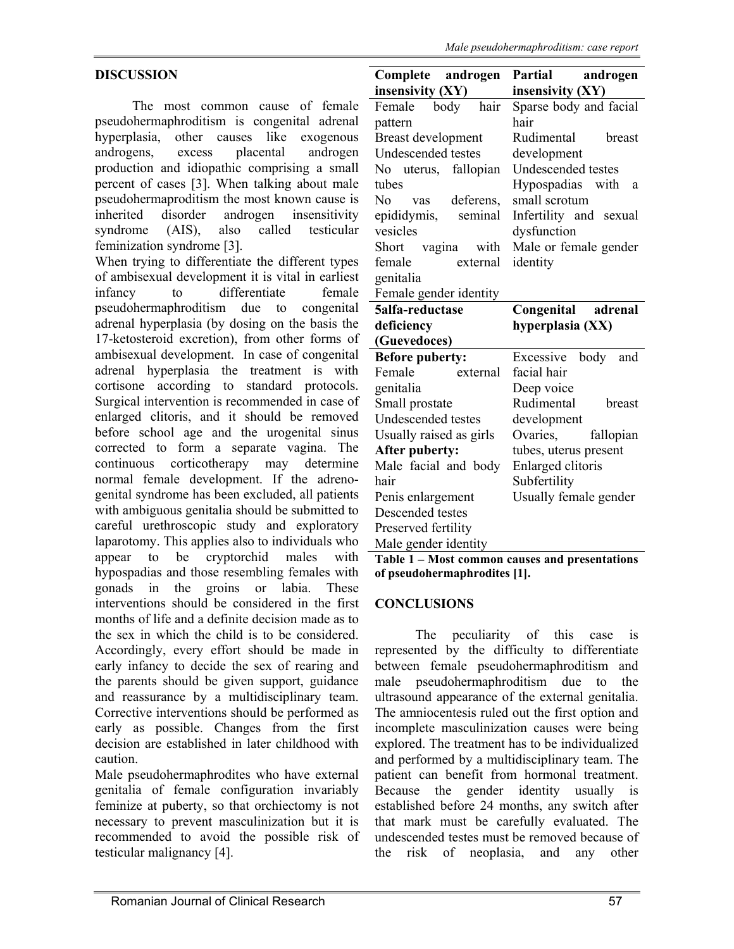# **DISCUSSION**

 The most common cause of female pseudohermaphroditism is congenital adrenal hyperplasia, other causes like exogenous androgens, excess placental androgen production and idiopathic comprising a small percent of cases [3]. When talking about male pseudohermaproditism the most known cause is inherited disorder androgen insensitivity syndrome (AIS), also called testicular feminization syndrome [3].

When trying to differentiate the different types of ambisexual development it is vital in earliest infancy to differentiate female pseudohermaphroditism due to congenital adrenal hyperplasia (by dosing on the basis the 17-ketosteroid excretion), from other forms of ambisexual development. In case of congenital adrenal hyperplasia the treatment is with cortisone according to standard protocols. Surgical intervention is recommended in case of enlarged clitoris, and it should be removed before school age and the urogenital sinus corrected to form a separate vagina. The continuous corticotherapy may determine normal female development. If the adrenogenital syndrome has been excluded, all patients with ambiguous genitalia should be submitted to careful urethroscopic study and exploratory laparotomy. This applies also to individuals who appear to be cryptorchid males with hypospadias and those resembling females with gonads in the groins or labia. These interventions should be considered in the first months of life and a definite decision made as to the sex in which the child is to be considered. Accordingly, every effort should be made in early infancy to decide the sex of rearing and the parents should be given support, guidance and reassurance by a multidisciplinary team. Corrective interventions should be performed as early as possible. Changes from the first decision are established in later childhood with caution.

Male pseudohermaphrodites who have external genitalia of female configuration invariably feminize at puberty, so that orchiectomy is not necessary to prevent masculinization but it is recommended to avoid the possible risk of testicular malignancy [4].

| Complete androgen                              | Partial<br>androgen         |
|------------------------------------------------|-----------------------------|
| insensivity (XY)                               | insensivity (XY)            |
| Female<br>body<br>hair                         | Sparse body and facial      |
| pattern                                        | hair                        |
| Breast development                             | Rudimental<br><b>breast</b> |
| Undescended testes                             | development                 |
| No uterus, fallopian                           | Undescended testes          |
| tubes                                          | Hypospadias with<br>a       |
| No vas deferens,                               | small scrotum               |
| epididymis, seminal                            | Infertility and sexual      |
| vesicles                                       | dysfunction                 |
| Short vagina with                              | Male or female gender       |
| female<br>external                             | identity                    |
| genitalia                                      |                             |
| Female gender identity                         |                             |
| 5alfa-reductase                                | Congenital adrenal          |
| deficiency                                     | hyperplasia (XX)            |
| (Guevedoces)                                   |                             |
| <b>Before puberty:</b>                         | Excessive body and          |
| Female<br>external                             | facial hair                 |
| genitalia                                      | Deep voice                  |
| Small prostate                                 | Rudimental<br>breast        |
| Undescended testes                             | development                 |
| Usually raised as girls                        | Ovaries,<br>fallopian       |
| After puberty:                                 | tubes, uterus present       |
| Male facial and body                           | Enlarged clitoris           |
| hair                                           | Subfertility                |
| Penis enlargement                              | Usually female gender       |
| Descended testes                               |                             |
| Preserved fertility                            |                             |
| Male gender identity                           |                             |
| Table 1 - Most common causes and presentations |                             |

**Table 1 – Most common causes and presentations of pseudohermaphrodites [1].** 

#### **CONCLUSIONS**

The peculiarity of this case is represented by the difficulty to differentiate between female pseudohermaphroditism and male pseudohermaphroditism due to the ultrasound appearance of the external genitalia. The amniocentesis ruled out the first option and incomplete masculinization causes were being explored. The treatment has to be individualized and performed by a multidisciplinary team. The patient can benefit from hormonal treatment. Because the gender identity usually established before 24 months, any switch after that mark must be carefully evaluated. The undescended testes must be removed because of the risk of neoplasia, and any other